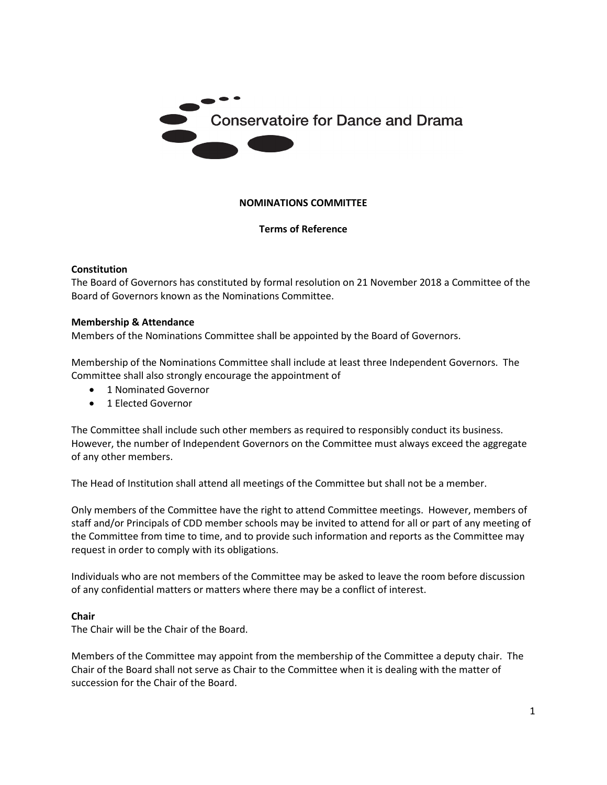

#### **NOMINATIONS COMMITTEE**

## **Terms of Reference**

#### **Constitution**

The Board of Governors has constituted by formal resolution on 21 November 2018 a Committee of the Board of Governors known as the Nominations Committee.

#### **Membership & Attendance**

Members of the Nominations Committee shall be appointed by the Board of Governors.

Membership of the Nominations Committee shall include at least three Independent Governors. The Committee shall also strongly encourage the appointment of

- 1 Nominated Governor
- 1 Elected Governor

The Committee shall include such other members as required to responsibly conduct its business. However, the number of Independent Governors on the Committee must always exceed the aggregate of any other members.

The Head of Institution shall attend all meetings of the Committee but shall not be a member.

Only members of the Committee have the right to attend Committee meetings. However, members of staff and/or Principals of CDD member schools may be invited to attend for all or part of any meeting of the Committee from time to time, and to provide such information and reports as the Committee may request in order to comply with its obligations.

Individuals who are not members of the Committee may be asked to leave the room before discussion of any confidential matters or matters where there may be a conflict of interest.

#### **Chair**

The Chair will be the Chair of the Board.

Members of the Committee may appoint from the membership of the Committee a deputy chair. The Chair of the Board shall not serve as Chair to the Committee when it is dealing with the matter of succession for the Chair of the Board.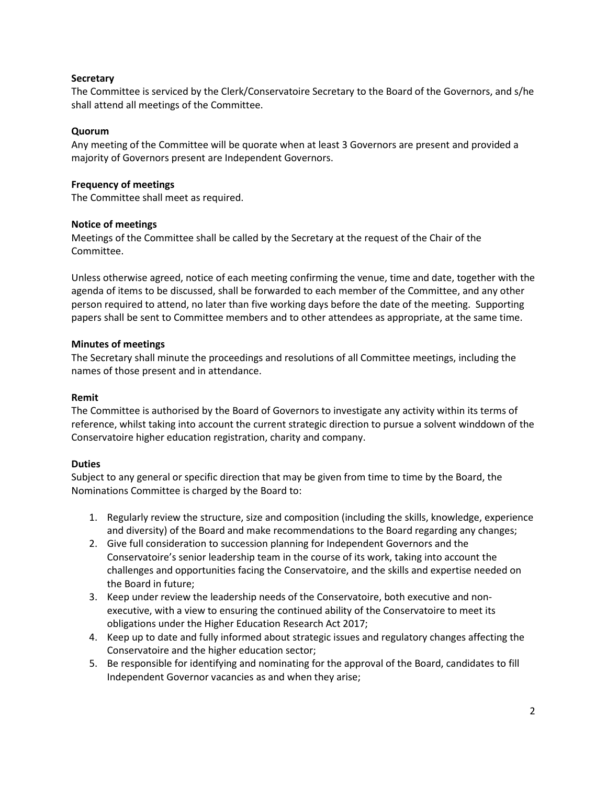## **Secretary**

The Committee is serviced by the Clerk/Conservatoire Secretary to the Board of the Governors, and s/he shall attend all meetings of the Committee.

# **Quorum**

Any meeting of the Committee will be quorate when at least 3 Governors are present and provided a majority of Governors present are Independent Governors.

# **Frequency of meetings**

The Committee shall meet as required.

# **Notice of meetings**

Meetings of the Committee shall be called by the Secretary at the request of the Chair of the Committee.

Unless otherwise agreed, notice of each meeting confirming the venue, time and date, together with the agenda of items to be discussed, shall be forwarded to each member of the Committee, and any other person required to attend, no later than five working days before the date of the meeting. Supporting papers shall be sent to Committee members and to other attendees as appropriate, at the same time.

# **Minutes of meetings**

The Secretary shall minute the proceedings and resolutions of all Committee meetings, including the names of those present and in attendance.

# **Remit**

The Committee is authorised by the Board of Governors to investigate any activity within its terms of reference, whilst taking into account the current strategic direction to pursue a solvent winddown of the Conservatoire higher education registration, charity and company.

## **Duties**

Subject to any general or specific direction that may be given from time to time by the Board, the Nominations Committee is charged by the Board to:

- 1. Regularly review the structure, size and composition (including the skills, knowledge, experience and diversity) of the Board and make recommendations to the Board regarding any changes;
- 2. Give full consideration to succession planning for Independent Governors and the Conservatoire's senior leadership team in the course of its work, taking into account the challenges and opportunities facing the Conservatoire, and the skills and expertise needed on the Board in future;
- 3. Keep under review the leadership needs of the Conservatoire, both executive and nonexecutive, with a view to ensuring the continued ability of the Conservatoire to meet its obligations under the Higher Education Research Act 2017;
- 4. Keep up to date and fully informed about strategic issues and regulatory changes affecting the Conservatoire and the higher education sector;
- 5. Be responsible for identifying and nominating for the approval of the Board, candidates to fill Independent Governor vacancies as and when they arise;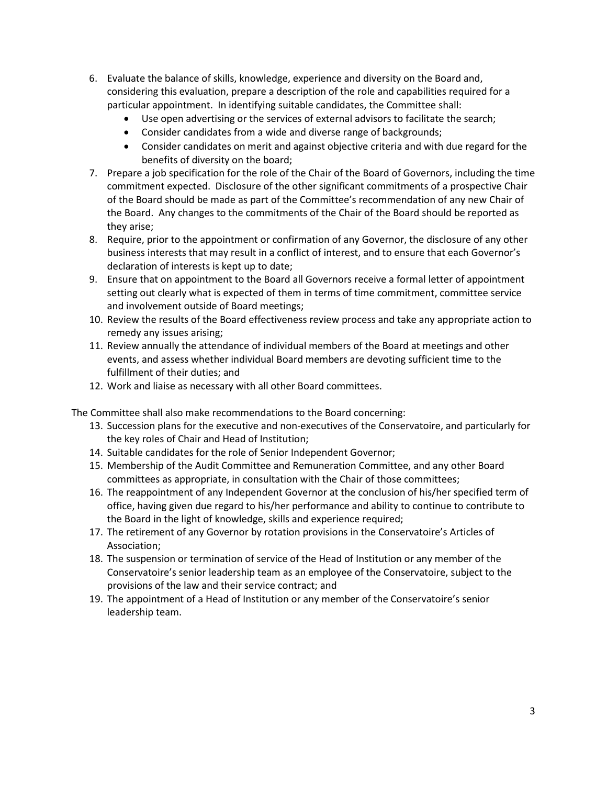- 6. Evaluate the balance of skills, knowledge, experience and diversity on the Board and, considering this evaluation, prepare a description of the role and capabilities required for a particular appointment. In identifying suitable candidates, the Committee shall:
	- Use open advertising or the services of external advisors to facilitate the search;
	- Consider candidates from a wide and diverse range of backgrounds;
	- Consider candidates on merit and against objective criteria and with due regard for the benefits of diversity on the board;
- 7. Prepare a job specification for the role of the Chair of the Board of Governors, including the time commitment expected. Disclosure of the other significant commitments of a prospective Chair of the Board should be made as part of the Committee's recommendation of any new Chair of the Board. Any changes to the commitments of the Chair of the Board should be reported as they arise;
- 8. Require, prior to the appointment or confirmation of any Governor, the disclosure of any other business interests that may result in a conflict of interest, and to ensure that each Governor's declaration of interests is kept up to date;
- 9. Ensure that on appointment to the Board all Governors receive a formal letter of appointment setting out clearly what is expected of them in terms of time commitment, committee service and involvement outside of Board meetings;
- 10. Review the results of the Board effectiveness review process and take any appropriate action to remedy any issues arising;
- 11. Review annually the attendance of individual members of the Board at meetings and other events, and assess whether individual Board members are devoting sufficient time to the fulfillment of their duties; and
- 12. Work and liaise as necessary with all other Board committees.

The Committee shall also make recommendations to the Board concerning:

- 13. Succession plans for the executive and non-executives of the Conservatoire, and particularly for the key roles of Chair and Head of Institution;
- 14. Suitable candidates for the role of Senior Independent Governor;
- 15. Membership of the Audit Committee and Remuneration Committee, and any other Board committees as appropriate, in consultation with the Chair of those committees;
- 16. The reappointment of any Independent Governor at the conclusion of his/her specified term of office, having given due regard to his/her performance and ability to continue to contribute to the Board in the light of knowledge, skills and experience required;
- 17. The retirement of any Governor by rotation provisions in the Conservatoire's Articles of Association;
- 18. The suspension or termination of service of the Head of Institution or any member of the Conservatoire's senior leadership team as an employee of the Conservatoire, subject to the provisions of the law and their service contract; and
- 19. The appointment of a Head of Institution or any member of the Conservatoire's senior leadership team.